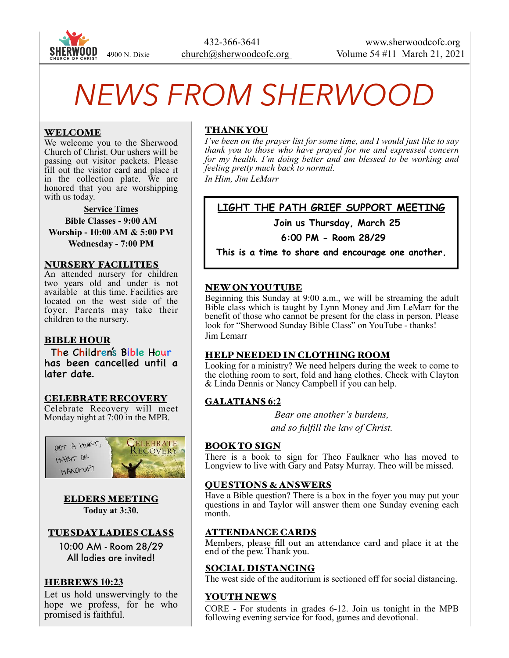

# *NEWS FROM SHERWOOD*

## WELCOME

We welcome you to the Sherwood Church of Christ. Our ushers will be passing out visitor packets. Please fill out the visitor card and place it in the collection plate. We are honored that you are worshipping with us today.

**Service Times Bible Classes - 9:00 AM Worship - 10:00 AM & 5:00 PM Wednesday - 7:00 PM** 

#### NURSERY FACILITIES

An attended nursery for children two years old and under is not available at this time. Facilities are located on the west side of the foyer. Parents may take their children to the nursery.

# BIBLE HOUR

The Children's Bible Hour has been cancelled until a later date.

#### CELEBRATE RECOVERY

Celebrate Recovery will meet Monday night at 7:00 in the MPB.



ELDERS MEETING **Today at 3:30.** 

# TUESDAY LADIES CLASS

10:00 AM - Room 28/29 All ladies are invited!

# HEBREWS **10:23**

Let us hold unswervingly to the hope we profess, for he who promised is faithful.

# THANK YOU

*I've been on the prayer list for some time, and I would just like to say thank you to those who have prayed for me and expressed concern for my health. I'm doing better and am blessed to be working and feeling pretty much back to normal. In Him, Jim LeMarr*

# **LIGHT THE PATH GRIEF SUPPORT MEETING**

 **Join us Thursday, March 25** 

**6:00 PM - Room 28/29** 

**This is a time to share and encourage one another.** 

# NEW ON YOU TUBE

Beginning this Sunday at 9:00 a.m., we will be streaming the adult Bible class which is taught by Lynn Money and Jim LeMarr for the benefit of those who cannot be present for the class in person. Please look for "Sherwood Sunday Bible Class" on YouTube - thanks! Jim Lemarr

# HELP NEEDED IN CLOTHING ROOM

Looking for a ministry? We need helpers during the week to come to the clothing room to sort, fold and hang clothes. Check with Clayton & Linda Dennis or Nancy Campbell if you can help.

# GALATIANS **6:2**

*Bear one another's burdens, and so fulfill the law of Christ.*

#### BOOK TO SIGN

There is a book to sign for Theo Faulkner who has moved to Longview to live with Gary and Patsy Murray. Theo will be missed.

#### QUESTIONS & ANSWERS

Have a Bible question? There is a box in the foyer you may put your questions in and Taylor will answer them one Sunday evening each month.

# ATTENDANCE CARDS

Members, please fill out an attendance card and place it at the end of the pew. Thank you.

#### SOCIAL DISTANCING

The west side of the auditorium is sectioned off for social distancing.

#### YOUTH NEWS

CORE - For students in grades 6-12. Join us tonight in the MPB following evening service for food, games and devotional.